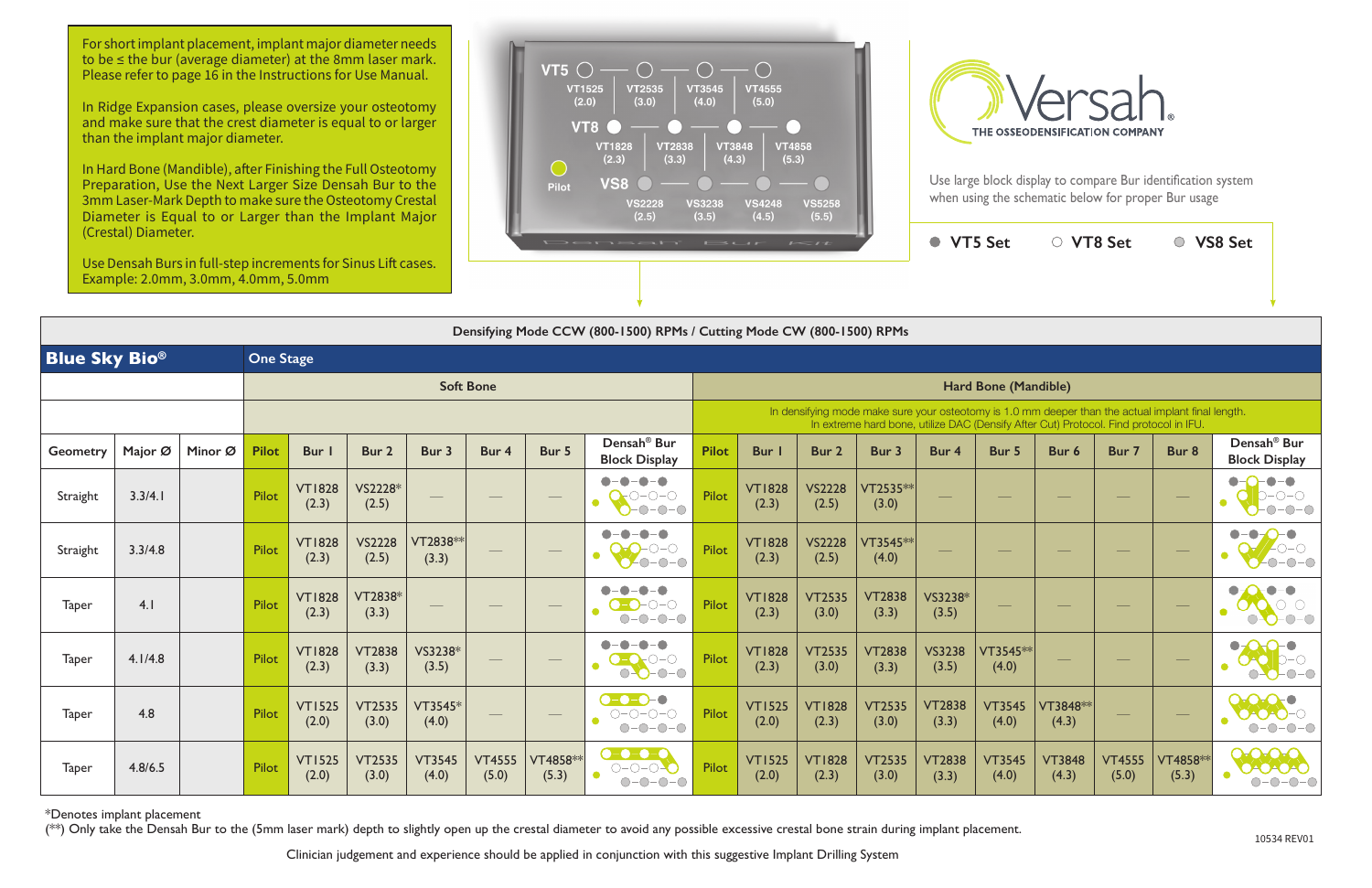|                      | (Crestal) Diameter. | Use Densah Burs in full-step increments for Sinus Lift cases.<br>Example: 2.0mm, 3.0mm, 4.0mm, 5.0mm |                  |                        |                        |                        | Densah<br>$\sqrt{2}$<br>$I = I I$ |                    |                                                                                                       |              |                        |                                                                                                                                                                                             |                        | $\bullet$              | <b>VT5 Set</b>         | ○ VT8 Set                |                        | ○ VS8 Set                                                                                                                                                                                                                                                                                                                                                                                                                                                                  |                                                 |
|----------------------|---------------------|------------------------------------------------------------------------------------------------------|------------------|------------------------|------------------------|------------------------|-----------------------------------|--------------------|-------------------------------------------------------------------------------------------------------|--------------|------------------------|---------------------------------------------------------------------------------------------------------------------------------------------------------------------------------------------|------------------------|------------------------|------------------------|--------------------------|------------------------|----------------------------------------------------------------------------------------------------------------------------------------------------------------------------------------------------------------------------------------------------------------------------------------------------------------------------------------------------------------------------------------------------------------------------------------------------------------------------|-------------------------------------------------|
|                      |                     |                                                                                                      |                  |                        |                        |                        |                                   |                    |                                                                                                       |              |                        |                                                                                                                                                                                             |                        |                        |                        |                          |                        |                                                                                                                                                                                                                                                                                                                                                                                                                                                                            |                                                 |
|                      |                     |                                                                                                      |                  |                        |                        |                        |                                   |                    | Densifying Mode CCW (800-1500) RPMs / Cutting Mode CW (800-1500) RPMs                                 |              |                        |                                                                                                                                                                                             |                        |                        |                        |                          |                        |                                                                                                                                                                                                                                                                                                                                                                                                                                                                            |                                                 |
| <b>Blue Sky Bio®</b> |                     |                                                                                                      | <b>One Stage</b> |                        |                        |                        |                                   |                    |                                                                                                       |              |                        |                                                                                                                                                                                             |                        |                        |                        |                          |                        |                                                                                                                                                                                                                                                                                                                                                                                                                                                                            |                                                 |
|                      |                     |                                                                                                      |                  |                        |                        |                        | <b>Soft Bone</b>                  |                    |                                                                                                       |              |                        | Hard Bone (Mandible)                                                                                                                                                                        |                        |                        |                        |                          |                        |                                                                                                                                                                                                                                                                                                                                                                                                                                                                            |                                                 |
|                      |                     |                                                                                                      |                  |                        |                        |                        |                                   |                    |                                                                                                       |              |                        | In densifying mode make sure your osteotomy is 1.0 mm deeper than the actual implant final length.<br>In extreme hard bone, utilize DAC (Densify After Cut) Protocol. Find protocol in IFU. |                        |                        |                        |                          |                        |                                                                                                                                                                                                                                                                                                                                                                                                                                                                            |                                                 |
| <b>Geometry</b>      | Major Ø             | Minor Ø                                                                                              | <b>Pilot</b>     | Bur I                  | Bur 2                  | Bur 3                  | Bur 4                             | Bur 5              | Densah <sup>®</sup> Bur<br><b>Block Display</b>                                                       | <b>Pilot</b> | Bur I                  | Bur 2                                                                                                                                                                                       | Bur 3                  | Bur 4                  | Bur 5                  | Bur 6                    | Bur 7                  | Bur 8                                                                                                                                                                                                                                                                                                                                                                                                                                                                      | Densah <sup>®</sup> Bur<br><b>Block Display</b> |
| Straight             | 3.3/4.1             |                                                                                                      | Pilot            | <b>VT1828</b><br>(2.3) | VS2228*<br>(2.5)       |                        |                                   | $\hspace{0.05cm}$  | -0-0<br>$\bullet$ - $\bullet$ -<br>$O-O-O$<br>$\bullet$<br>$-0-0-0$                                   | Pilot        | <b>VT1828</b><br>(2.3) | <b>VS2228</b><br>(2.5)                                                                                                                                                                      | VT2535**<br>(3.0)      |                        |                        | $\overline{\phantom{0}}$ |                        | $\frac{1}{2} \left( \frac{1}{2} \right) \left( \frac{1}{2} \right) \left( \frac{1}{2} \right) \left( \frac{1}{2} \right) \left( \frac{1}{2} \right) \left( \frac{1}{2} \right) \left( \frac{1}{2} \right) \left( \frac{1}{2} \right) \left( \frac{1}{2} \right) \left( \frac{1}{2} \right) \left( \frac{1}{2} \right) \left( \frac{1}{2} \right) \left( \frac{1}{2} \right) \left( \frac{1}{2} \right) \left( \frac{1}{2} \right) \left( \frac{1}{2} \right) \left( \frac$ | $\bullet$ - $\bullet$<br>$O-O-C$<br>$-0-0-0$    |
| Straight             | 3.3/4.8             |                                                                                                      | Pilot            | <b>VT1828</b><br>(2.3) | <b>VS2228</b><br>(2.5) | VT2838**<br>(3.3)      |                                   |                    | $ \bullet$<br>$\bullet$ $\bullet$<br>$O-O-O$<br>$-0-0-0$                                              | Pilot        | <b>VT1828</b><br>(2.3) | <b>VS2228</b><br>(2.5)                                                                                                                                                                      | VT3545**<br>(4.0)      |                        |                        |                          |                        | $\overline{\phantom{0}}$                                                                                                                                                                                                                                                                                                                                                                                                                                                   | $-$ O $-$ O<br>$-$ 0-0-0                        |
| Taper                | 4.1                 |                                                                                                      | Pilot            | <b>VT1828</b><br>(2.3) | VT2838*<br>(3.3)       |                        |                                   |                    | $\bullet - \bullet$<br>$O-O-O-O$<br>$O-O-O-O$                                                         | Pilot        | <b>VT1828</b><br>(2.3) | <b>VT2535</b><br>(3.0)                                                                                                                                                                      | <b>VT2838</b><br>(3.3) | VS3238*<br>(3.5)       |                        |                          |                        |                                                                                                                                                                                                                                                                                                                                                                                                                                                                            | $\bullet$<br>$\bullet$<br>$-O$ -O               |
| Taper                | 4.1/4.8             |                                                                                                      | Pilot            | <b>VT1828</b><br>(2.3) | <b>VT2838</b><br>(3.3) | VS3238*<br>(3.5)       |                                   |                    | $\bullet$ –<br>-0<br>$\bullet$ -O-O-O<br>0-0-0<br>$\bigcirc$                                          | Pilot        | <b>VT1828</b><br>(2.3) | <b>VT2535</b><br>(3.0)                                                                                                                                                                      | <b>VT2838</b><br>(3.3) | <b>VS3238</b><br>(3.5) | VT3545**<br>(4.0)      |                          |                        |                                                                                                                                                                                                                                                                                                                                                                                                                                                                            | $\bullet$<br>$-$ 0-0<br>$\bigcirc$              |
| Taper                | 4.8                 |                                                                                                      | Pilot            | <b>VT1525</b><br>(2.0) | <b>VT2535</b><br>(3.0) | $VT3545*$<br>(4.0)     |                                   |                    | $- - - - -$<br>$\bigcirc\negmedspace-\bigcirc\negmedspace-\bigcirc\negmedspace-\bigcirc$<br>$O-O-O-O$ | Pilot        | <b>VT1525</b><br>(2.0) | <b>VT1828</b><br>(2.3)                                                                                                                                                                      | <b>VT2535</b><br>(3.0) | <b>VT2838</b><br>(3.3) | <b>VT3545</b><br>(4.0) | VT3848 **<br>(4.3)       |                        |                                                                                                                                                                                                                                                                                                                                                                                                                                                                            | <b>MOMO-O</b><br>$O-O-O-O$                      |
| <b>Taper</b>         | 4.8/6.5             |                                                                                                      | Pilot            | <b>VT1525</b><br>(2.0) | <b>VT2535</b><br>(3.0) | <b>VT3545</b><br>(4.0) | <b>VT4555</b><br>(5.0)            | VT4858 **<br>(5.3) | $- - - - -$<br>O-O-C<br>$\bullet$<br>$O-O-O-O$                                                        | Pilot        | <b>VT1525</b><br>(2.0) | <b>VT1828</b><br>(2.3)                                                                                                                                                                      | <b>VT2535</b><br>(3.0) | <b>VT2838</b><br>(3.3) | <b>VT3545</b><br>(4.0) | <b>VT3848</b><br>(4.3)   | <b>VT4555</b><br>(5.0) | VT4858**<br>(5.3)                                                                                                                                                                                                                                                                                                                                                                                                                                                          | $\bullet$<br>$O-O-O-O$                          |

Clinician judgement and experience should be applied in conjunction with this suggestive Implant Drilling System

\*Denotes implant placement

(\*\*) Only take the Densah Bur to the (5mm laser mark) depth to slightly open up the crestal diameter to avoid any possible excessive crestal bone strain during implant placement.

For short implant placement, implant major diameter needs to be ≤ the bur (average diameter) at the 8mm laser mark. Please refer to page 16 in the Instructions for Use Manual.

In Ridge Expansion cases, please oversize your osteotomy and make sure that the crest diameter is equal to or larger than the implant major diameter.

In Hard Bone (Mandible), after Finishing the Full Osteotomy Preparation, Use the Next Larger Size Densah Bur to the 3mm Laser-Mark Depth to make sure the Osteotomy Crestal Diameter is Equal to or Larger than the Implant Major





Use large block display to compare Bur identification system when using the schematic below for proper Bur usage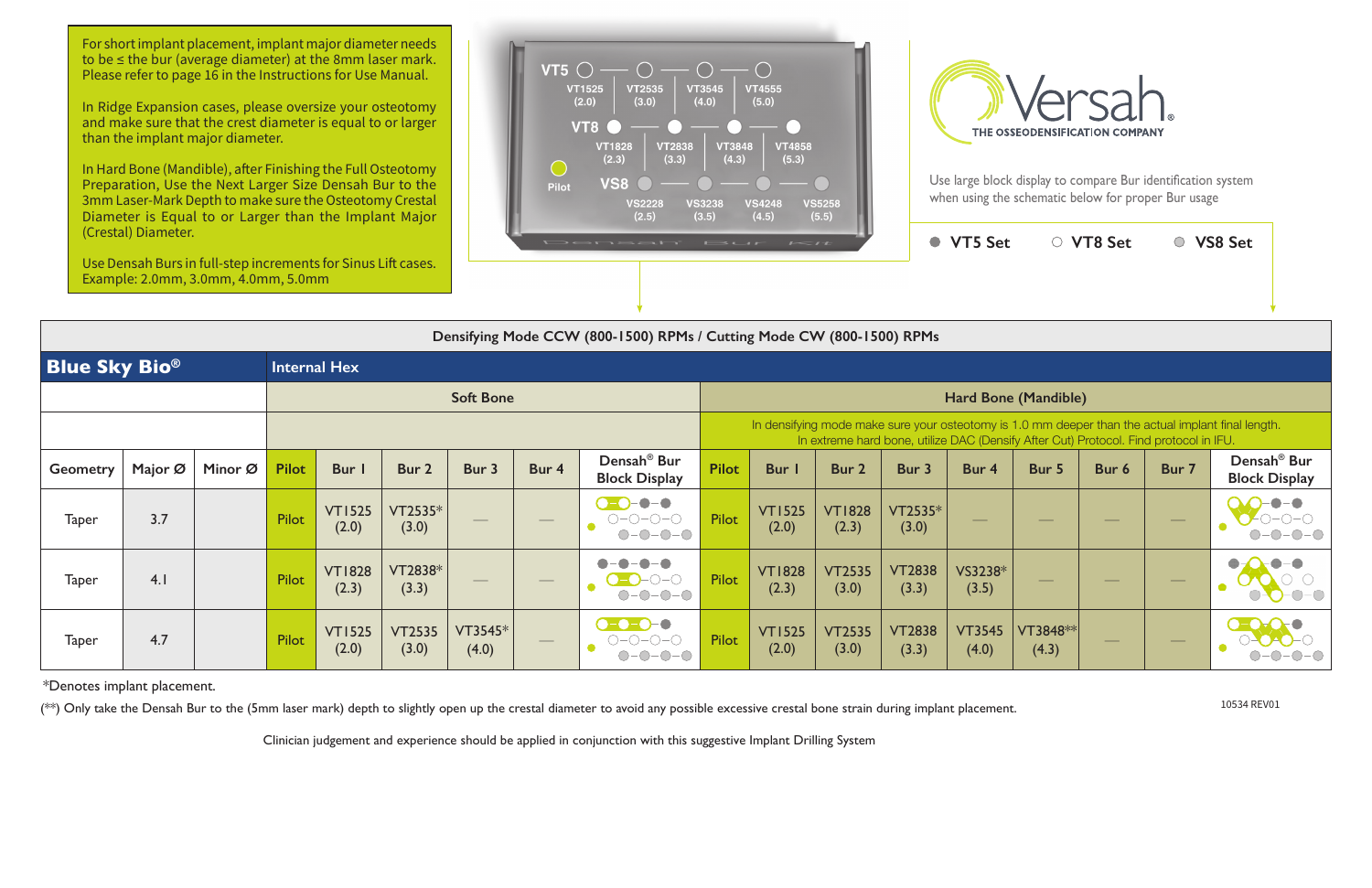Use large block display to compare Bur identification system when using the schematic below for proper Bur usage

For short implant placement, implant major diameter needs to be ≤ the bur (average diameter) at the 8mm laser mark. Please refer to page 16 in the Instructions for Use Manual.

\*Denotes implant placement.

(\*\*) Only take the Densah Bur to the (5mm laser mark) depth to slightly open up the crestal diameter to avoid any possible excessive crestal bone strain during implant placement.

10534 REV01

|                      | (Crestal) Diameter.<br>Use Densah Burs in full-step increments for Sinus Lift cases.<br>Example: 2.0mm, 3.0mm, 4.0mm, 5.0mm |         |                     |                        |                        |                  |                   | Densah' Bur                                                                                                                              |                                                                                                                                                                                             | $I \leq t$             |                        |                        | ● VT5 Set              |                          | ○ VT8 Set |                                             | ○ VS8 Set                                       |  |  |  |
|----------------------|-----------------------------------------------------------------------------------------------------------------------------|---------|---------------------|------------------------|------------------------|------------------|-------------------|------------------------------------------------------------------------------------------------------------------------------------------|---------------------------------------------------------------------------------------------------------------------------------------------------------------------------------------------|------------------------|------------------------|------------------------|------------------------|--------------------------|-----------|---------------------------------------------|-------------------------------------------------|--|--|--|
|                      | Densifying Mode CCW (800-1500) RPMs / Cutting Mode CW (800-1500) RPMs                                                       |         |                     |                        |                        |                  |                   |                                                                                                                                          |                                                                                                                                                                                             |                        |                        |                        |                        |                          |           |                                             |                                                 |  |  |  |
| <b>Blue Sky Bio®</b> |                                                                                                                             |         | <b>Internal Hex</b> |                        |                        |                  |                   |                                                                                                                                          |                                                                                                                                                                                             |                        |                        |                        |                        |                          |           |                                             |                                                 |  |  |  |
|                      |                                                                                                                             |         |                     |                        |                        | <b>Soft Bone</b> |                   |                                                                                                                                          |                                                                                                                                                                                             | Hard Bone (Mandible)   |                        |                        |                        |                          |           |                                             |                                                 |  |  |  |
|                      |                                                                                                                             |         |                     |                        |                        |                  |                   |                                                                                                                                          | In densifying mode make sure your osteotomy is 1.0 mm deeper than the actual implant final length.<br>In extreme hard bone, utilize DAC (Densify After Cut) Protocol. Find protocol in IFU. |                        |                        |                        |                        |                          |           |                                             |                                                 |  |  |  |
| <b>Geometry</b>      | Major Ø                                                                                                                     | Minor Ø | <b>Pilot</b>        | Bur I                  | Bur 2                  | Bur 3            | Bur 4             | Densah <sup>®</sup> Bur<br><b>Block Display</b>                                                                                          | <b>Pilot</b>                                                                                                                                                                                | Bur I                  | Bur 2                  | Bur 3                  | Bur 4                  | Bur 5                    | Bur 6     | Bur 7                                       | Densah <sup>®</sup> Bur<br><b>Block Display</b> |  |  |  |
| <b>Taper</b>         | 3.7                                                                                                                         |         | Pilot               | <b>VT1525</b><br>(2.0) | VT2535*<br>(3.0)       |                  |                   | $\bullet$ – $\bullet$<br>$\bullet$ - $\bullet$<br>$\bigcirc\negmedspace-\bigcirc\negmedspace-\bigcirc\negmedspace-\bigcirc$<br>$O-O-O-O$ | Pilot                                                                                                                                                                                       | <b>VT1525</b><br>(2.0) | <b>VT1828</b><br>(2.3) | VT2535*<br>(3.0)       | $\hspace{0.05cm}$      | $\hspace{0.05cm}$        |           | $\overbrace{\hspace{25mm}}^{}$              |                                                 |  |  |  |
| <b>Taper</b>         | 4.1                                                                                                                         |         | Pilot               | <b>VT1828</b><br>(2.3) | VT2838*<br>(3.3)       | $\frac{1}{2}$    | $\hspace{0.05cm}$ | $-0$ - $0$ - $0$                                                                                                                         | Pilot                                                                                                                                                                                       | <b>VT1828</b><br>(2.3) | <b>VT2535</b><br>(3.0) | <b>VT2838</b><br>(3.3) | VS3238*<br>(3.5)       | $\overline{\phantom{m}}$ |           | $\overline{\phantom{a}}$                    |                                                 |  |  |  |
| <b>Taper</b>         | 4.7                                                                                                                         |         | Pilot               | <b>VT1525</b><br>(2.0) | <b>VT2535</b><br>(3.0) | VT3545*<br>(4.0) |                   | $-0-0-0$<br>$O-O-O-O-\bigcirc$                                                                                                           | Pilot                                                                                                                                                                                       | <b>VT1525</b><br>(2.0) | <b>VT2535</b><br>(3.0) | <b>VT2838</b><br>(3.3) | <b>VT3545</b><br>(4.0) | $VT3848**$<br>(4.3)      |           | $\hspace{1.0cm} \overbrace{\hspace{1.0cm}}$ |                                                 |  |  |  |

Clinician judgement and experience should be applied in conjunction with this suggestive Implant Drilling System

In Ridge Expansion cases, please oversize your osteotomy and make sure that the crest diameter is equal to or larger than the implant major diameter.

In Hard Bone (Mandible), after Finishing the Full Osteotomy Preparation, Use the Next Larger Size Densah Bur to the 3mm Laser-Mark Depth to make sure the Osteotomy Crestal Diameter is Equal to or Larger than the Implant Major



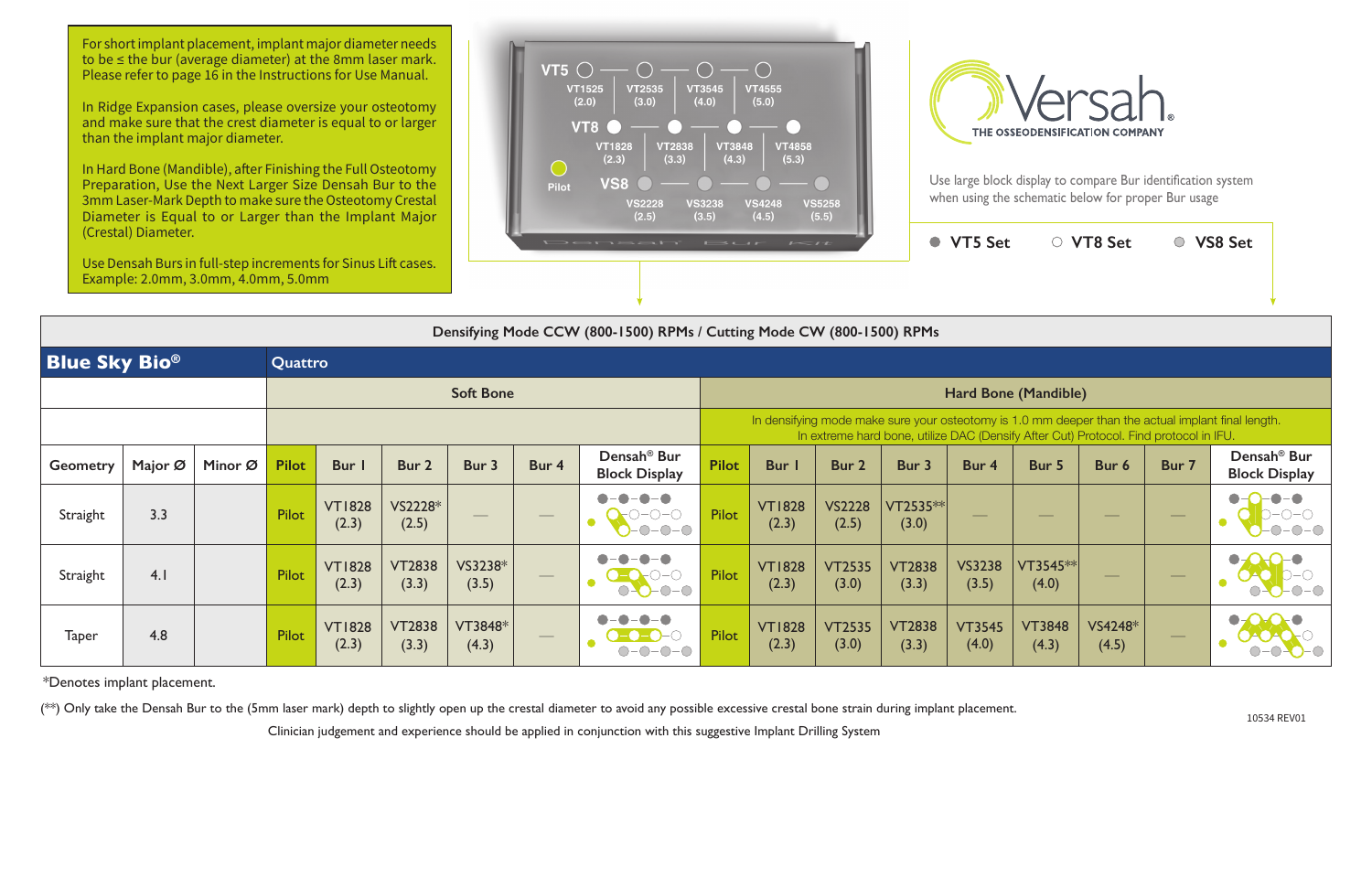Use large block display to compare Bur identification system when using the schematic below for proper Bur usage

For short implant placement, implant major diameter needs to be ≤ the bur (average diameter) at the 8mm laser mark. Please refer to page 16 in the Instructions for Use Manual.

\*Denotes implant placement.

(\*\*) Only take the Densah Bur to the (5mm laser mark) depth to slightly open up the crestal diameter to avoid any possible excessive crestal bone strain during implant placement.

10534 REV01

|                      | (Crestal) Diameter.<br>Use Densah Burs in full-step increments for Sinus Lift cases.<br>Example: 2.0mm, 3.0mm, 4.0mm, 5.0mm |         |              |                        |                        |                  |                  | Densah                                          | $F \rightarrow U H$  | $I \leq I$             |                        |                        | ● VT5 Set                                                                                                                                                                                   |                        | ○ VT8 Set        |                                | ○ VS8 Set                                       |  |  |
|----------------------|-----------------------------------------------------------------------------------------------------------------------------|---------|--------------|------------------------|------------------------|------------------|------------------|-------------------------------------------------|----------------------|------------------------|------------------------|------------------------|---------------------------------------------------------------------------------------------------------------------------------------------------------------------------------------------|------------------------|------------------|--------------------------------|-------------------------------------------------|--|--|
|                      | Densifying Mode CCW (800-1500) RPMs / Cutting Mode CW (800-1500) RPMs                                                       |         |              |                        |                        |                  |                  |                                                 |                      |                        |                        |                        |                                                                                                                                                                                             |                        |                  |                                |                                                 |  |  |
| <b>Blue Sky Bio®</b> |                                                                                                                             |         |              |                        |                        |                  |                  |                                                 |                      |                        |                        |                        |                                                                                                                                                                                             |                        |                  |                                |                                                 |  |  |
|                      |                                                                                                                             |         |              |                        |                        | <b>Soft Bone</b> |                  |                                                 | Hard Bone (Mandible) |                        |                        |                        |                                                                                                                                                                                             |                        |                  |                                |                                                 |  |  |
|                      |                                                                                                                             |         |              |                        |                        |                  |                  |                                                 |                      |                        |                        |                        | In densifying mode make sure your osteotomy is 1.0 mm deeper than the actual implant final length.<br>In extreme hard bone, utilize DAC (Densify After Cut) Protocol. Find protocol in IFU. |                        |                  |                                |                                                 |  |  |
| <b>Geometry</b>      | Major Ø                                                                                                                     | Minor Ø | <b>Pilot</b> | Bur I                  | Bur 2                  | Bur 3            | Bur 4            | Densah <sup>®</sup> Bur<br><b>Block Display</b> | <b>Pilot</b>         | <b>Bur</b>             | Bur 2                  | Bur 3                  | Bur 4                                                                                                                                                                                       | Bur 5                  | Bur 6            | Bur 7                          | Densah <sup>®</sup> Bur<br><b>Block Display</b> |  |  |
| Straight             | 3.3                                                                                                                         |         | Pilot        | <b>VT1828</b><br>(2.3) | VS2228*<br>(2.5)       |                  |                  | $-0-0-0$                                        | Pilot                | <b>VT1828</b><br>(2.3) | <b>VS2228</b><br>(2.5) | VT2535 **<br>(3.0)     |                                                                                                                                                                                             |                        |                  |                                | $\bullet$                                       |  |  |
| Straight             | 4.1                                                                                                                         |         | Pilot        | <b>VT1828</b><br>(2.3) | <b>VT2838</b><br>(3.3) | VS3238*<br>(3.5) |                  | $O-O-O-O$                                       | Pilot                | <b>VT1828</b><br>(2.3) | <b>VT2535</b><br>(3.0) | <b>VT2838</b><br>(3.3) | <b>VS3238</b><br>(3.5)                                                                                                                                                                      | VT3545**<br>(4.0)      |                  |                                |                                                 |  |  |
| <b>Taper</b>         | 4.8                                                                                                                         |         | Pilot        | <b>VT1828</b><br>(2.3) | <b>VT2838</b><br>(3.3) | VT3848*<br>(4.3) | $\hspace{0.1cm}$ |                                                 | Pilot                | <b>VT1828</b><br>(2.3) | <b>VT2535</b><br>(3.0) | <b>VT2838</b><br>(3.3) | <b>VT3545</b><br>(4.0)                                                                                                                                                                      | <b>VT3848</b><br>(4.3) | VS4248*<br>(4.5) | $\overbrace{\hspace{25mm}}^{}$ |                                                 |  |  |

Clinician judgement and experience should be applied in conjunction with this suggestive Implant Drilling System

In Ridge Expansion cases, please oversize your osteotomy and make sure that the crest diameter is equal to or larger than the implant major diameter.

In Hard Bone (Mandible), after Finishing the Full Osteotomy Preparation, Use the Next Larger Size Densah Bur to the 3mm Laser-Mark Depth to make sure the Osteotomy Crestal Diameter is Equal to or Larger than the Implant Major



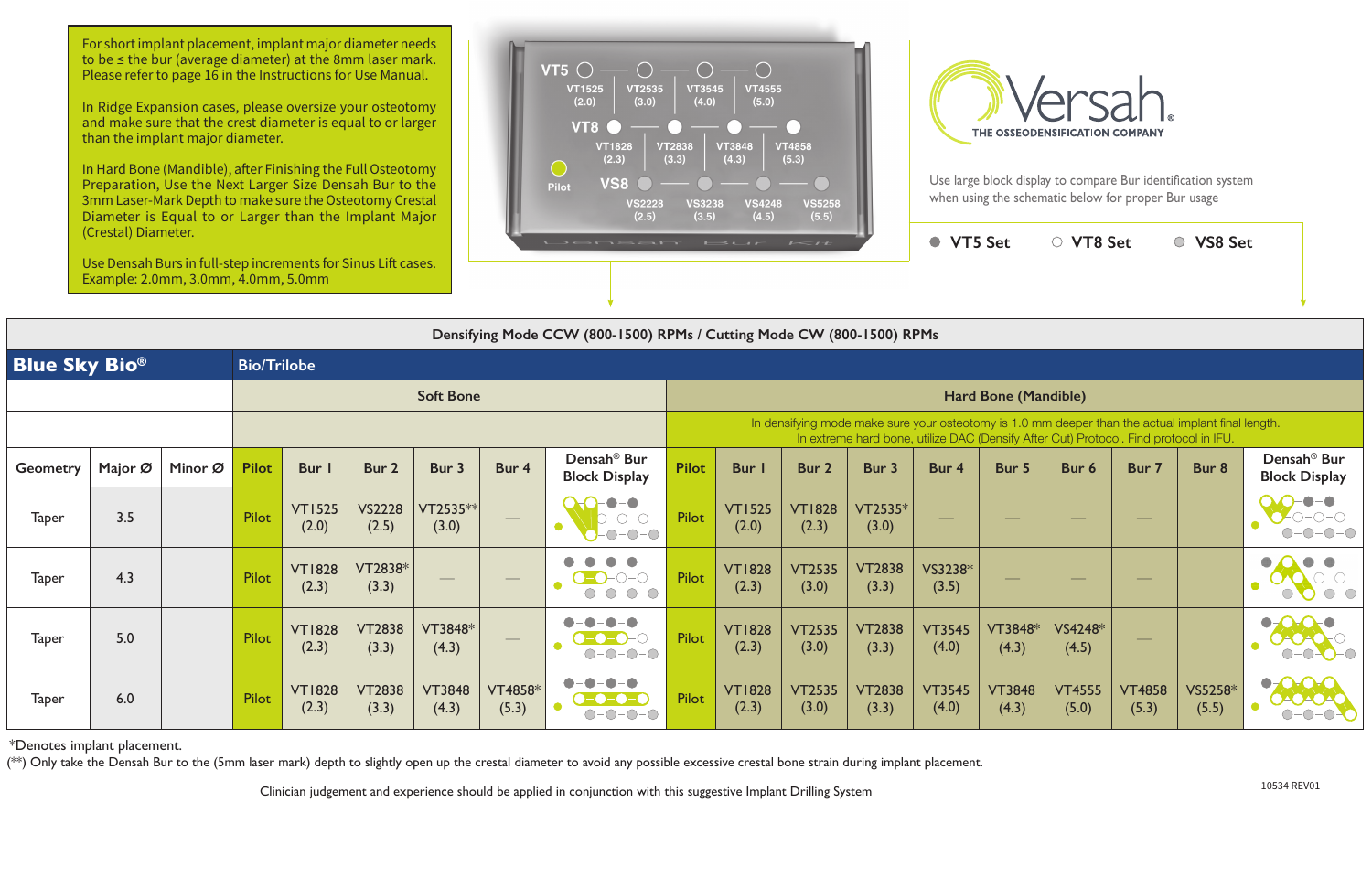Use large block display to compare Bur identification system when using the schematic below for proper Bur usage

|                      | (Crestal) Diameter. | Use Densah Burs in full-step increments for Sinus Lift cases.<br>Example: 2.0mm, 3.0mm, 4.0mm, 5.0mm |                    |                        |                        |                        |                          | Densah' Bur Kit                                                                               |                                                                                                                                                                                             |                        |                        |                        | ● VT5 Set              |                          | ○ VT8 Set              |                          | ○ VS8 Set        |                                                                |  |  |  |
|----------------------|---------------------|------------------------------------------------------------------------------------------------------|--------------------|------------------------|------------------------|------------------------|--------------------------|-----------------------------------------------------------------------------------------------|---------------------------------------------------------------------------------------------------------------------------------------------------------------------------------------------|------------------------|------------------------|------------------------|------------------------|--------------------------|------------------------|--------------------------|------------------|----------------------------------------------------------------|--|--|--|
|                      |                     |                                                                                                      |                    |                        |                        |                        |                          | Densifying Mode CCW (800-1500) RPMs / Cutting Mode CW (800-1500) RPMs                         |                                                                                                                                                                                             |                        |                        |                        |                        |                          |                        |                          |                  |                                                                |  |  |  |
| <b>Blue Sky Bio®</b> |                     |                                                                                                      | <b>Bio/Trilobe</b> |                        |                        |                        |                          |                                                                                               |                                                                                                                                                                                             |                        |                        |                        |                        |                          |                        |                          |                  |                                                                |  |  |  |
|                      |                     |                                                                                                      |                    |                        |                        | <b>Soft Bone</b>       |                          |                                                                                               | Hard Bone (Mandible)                                                                                                                                                                        |                        |                        |                        |                        |                          |                        |                          |                  |                                                                |  |  |  |
|                      |                     |                                                                                                      |                    |                        |                        |                        |                          |                                                                                               | In densifying mode make sure your osteotomy is 1.0 mm deeper than the actual implant final length.<br>In extreme hard bone, utilize DAC (Densify After Cut) Protocol. Find protocol in IFU. |                        |                        |                        |                        |                          |                        |                          |                  |                                                                |  |  |  |
| <b>Geometry</b>      | Major Ø             | Minor Ø                                                                                              | <b>Pilot</b>       | Bur I                  | Bur 2                  | Bur 3                  | Bur 4                    | Densah <sup>®</sup> Bur<br><b>Block Display</b>                                               | <b>Pilot</b>                                                                                                                                                                                | Bur                    | Bur 2                  | Bur 3                  | Bur 4                  | Bur 5                    | Bur 6                  | Bur 7                    | Bur 8            | Densah <sup>®</sup> Bur<br><b>Block Display</b>                |  |  |  |
| <b>Taper</b>         | 3.5                 |                                                                                                      | Pilot              | <b>VT1525</b><br>(2.0) | <b>VS2228</b><br>(2.5) | $VT2535**$<br>(3.0)    |                          | -0<br>$O-O-O$<br>$\bullet$<br>$-0$ -O -O                                                      | Pilot                                                                                                                                                                                       | <b>VT1525</b><br>(2.0) | <b>VT1828</b><br>(2.3) | VT2535*<br>(3.0)       |                        |                          |                        |                          |                  | $\bullet - \bullet$<br>$\bigcap -\bigcap -\bigcap$<br>$-0-0-0$ |  |  |  |
| <b>Taper</b>         | 4.3                 |                                                                                                      | Pilot              | <b>VT1828</b><br>(2.3) | VT2838*<br>(3.3)       | $\frac{1}{2}$          | $\overline{\phantom{m}}$ | $\bigcirc$ - $\bigcirc$ - $\bigcirc$<br>$O - O - O - O$                                       | Pilot                                                                                                                                                                                       | <b>VT1828</b><br>(2.3) | <b>VT2535</b><br>(3.0) | <b>VT2838</b><br>(3.3) | VS3238*<br>(3.5)       | $\overline{\phantom{a}}$ |                        | $\frac{1}{2}$            |                  | $ \bigcirc$ $ \bigcirc$                                        |  |  |  |
| <b>Taper</b>         | 5.0                 |                                                                                                      | Pilot              | <b>VT1828</b><br>(2.3) | <b>VT2838</b><br>(3.3) | VT3848*<br>(4.3)       | $\hspace{0.05cm}$        | $-\bullet-\bullet$<br>$-\bigcirc$<br>$\bullet$ - $\bullet$ - $\bullet$ - $\circ$<br>$O-O-O-O$ | Pilot                                                                                                                                                                                       | <b>VT1828</b><br>(2.3) | <b>VT2535</b><br>(3.0) | <b>VT2838</b><br>(3.3) | <b>VT3545</b><br>(4.0) | VT3848*<br>(4.3)         | VS4248*<br>(4.5)       | $\overline{\phantom{a}}$ |                  | $\bullet$<br>$O-O-O-O$                                         |  |  |  |
| <b>Taper</b>         | 6.0                 |                                                                                                      | Pilot              | <b>VT1828</b><br>(2.3) | <b>VT2838</b><br>(3.3) | <b>VT3848</b><br>(4.3) | VT4858*<br>(5.3)         | $\bullet$<br>$-0-0-0$                                                                         | Pilot                                                                                                                                                                                       | <b>VT1828</b><br>(2.3) | <b>VT2535</b><br>(3.0) | <b>VT2838</b><br>(3.3) | <b>VT3545</b><br>(4.0) | <b>VT3848</b><br>(4.3)   | <b>VT4555</b><br>(5.0) | <b>VT4858</b><br>(5.3)   | VS5258*<br>(5.5) | <b>OOC</b><br>$\bullet$<br>DAOAOA<br>-0-0                      |  |  |  |

\*Denotes implant placement.

(\*\*) Only take the Densah Bur to the (5mm laser mark) depth to slightly open up the crestal diameter to avoid any possible excessive crestal bone strain during implant placement.

10534 REV01 Clinician judgement and experience should be applied in conjunction with this suggestive Implant Drilling System

For short implant placement, implant major diameter needs to be ≤ the bur (average diameter) at the 8mm laser mark. Please refer to page 16 in the Instructions for Use Manual.

In Ridge Expansion cases, please oversize your osteotomy and make sure that the crest diameter is equal to or larger than the implant major diameter.

In Hard Bone (Mandible), after Finishing the Full Osteotomy Preparation, Use the Next Larger Size Densah Bur to the 3mm Laser-Mark Depth to make sure the Osteotomy Crestal Diameter is Equal to or Larger than the Implant Major



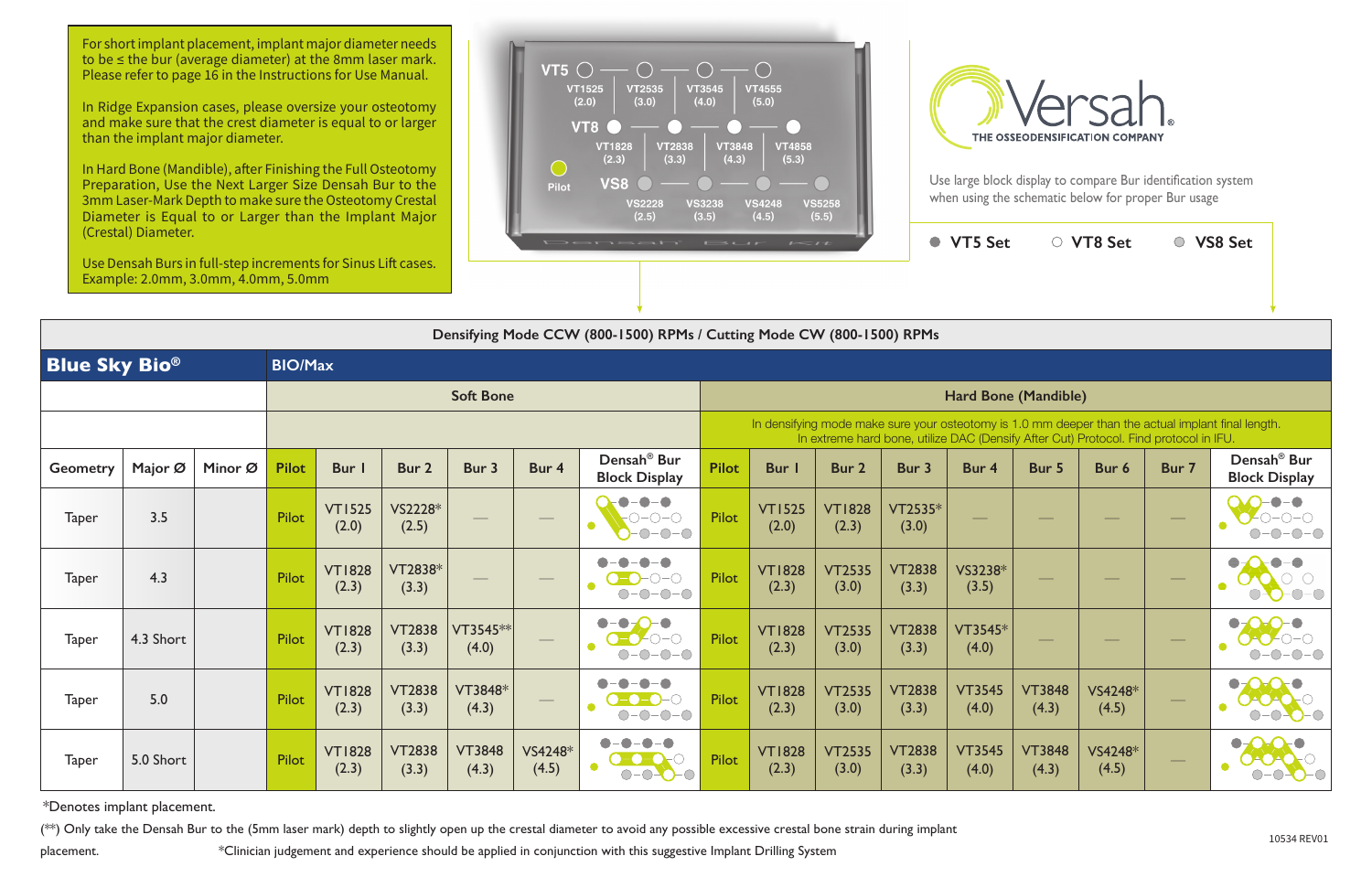For short implant placement, implant major diameter needs to be ≤ the bur (average diameter) at the 8mm laser mark. Please refer to page 16 in the Instructions for Use Manual.

|                      | (Crestal) Diameter.<br>Use Densah Burs in full-step increments for Sinus Lift cases.<br>Example: 2.0mm, 3.0mm, 4.0mm, 5.0mm |         |                |                        |                        |                        |                  | Densah <sup>"</sup> Bur                                               | $I = I I$    |                                                                                                                                                                                             | ● VT5 Set              |                             | ○ VT8 Set              |                          | ○ VS8 Set        |       |                                                 |  |  |  |
|----------------------|-----------------------------------------------------------------------------------------------------------------------------|---------|----------------|------------------------|------------------------|------------------------|------------------|-----------------------------------------------------------------------|--------------|---------------------------------------------------------------------------------------------------------------------------------------------------------------------------------------------|------------------------|-----------------------------|------------------------|--------------------------|------------------|-------|-------------------------------------------------|--|--|--|
|                      |                                                                                                                             |         |                |                        |                        |                        |                  | Densifying Mode CCW (800-1500) RPMs / Cutting Mode CW (800-1500) RPMs |              |                                                                                                                                                                                             |                        |                             |                        |                          |                  |       |                                                 |  |  |  |
| <b>Blue Sky Bio®</b> |                                                                                                                             |         | <b>BIO/Max</b> |                        |                        |                        |                  |                                                                       |              |                                                                                                                                                                                             |                        |                             |                        |                          |                  |       |                                                 |  |  |  |
|                      |                                                                                                                             |         |                |                        |                        | <b>Soft Bone</b>       |                  |                                                                       |              |                                                                                                                                                                                             |                        | <b>Hard Bone (Mandible)</b> |                        |                          |                  |       |                                                 |  |  |  |
|                      |                                                                                                                             |         |                |                        |                        |                        |                  |                                                                       |              | In densifying mode make sure your osteotomy is 1.0 mm deeper than the actual implant final length.<br>In extreme hard bone, utilize DAC (Densify After Cut) Protocol. Find protocol in IFU. |                        |                             |                        |                          |                  |       |                                                 |  |  |  |
| Geometry             | Major Ø                                                                                                                     | Minor Ø | <b>Pilot</b>   | Bur I                  | Bur 2                  | Bur 3                  | Bur 4            | Densah <sup>®</sup> Bur<br><b>Block Display</b>                       | <b>Pilot</b> | <b>Bur</b> I                                                                                                                                                                                | Bur 2                  | Bur 3                       | Bur 4                  | Bur 5                    | Bur 6            | Bur 7 | Densah <sup>®</sup> Bur<br><b>Block Display</b> |  |  |  |
| <b>Taper</b>         | 3.5                                                                                                                         |         | Pilot          | <b>VT1525</b><br>(2.0) | VS2228*<br>(2.5)       |                        |                  | $\bullet$<br>∩−∩−∩<br>$O-O-O$                                         | Pilot        | <b>VT1525</b><br>(2.0)                                                                                                                                                                      | <b>VT1828</b><br>(2.3) | VT2535*<br>(3.0)            |                        |                          |                  |       |                                                 |  |  |  |
| <b>Taper</b>         | 4.3                                                                                                                         |         | Pilot          | <b>VT1828</b><br>(2.3) | VT2838*<br>(3.3)       |                        |                  | ∩–∩<br>$-0-0-$<br>$-\bigcirc$                                         | Pilot        | <b>VT1828</b><br>(2.3)                                                                                                                                                                      | <b>VT2535</b><br>(3.0) | <b>VT2838</b><br>(3.3)      | VS3238*<br>(3.5)       |                          |                  |       |                                                 |  |  |  |
| <b>Taper</b>         | 4.3 Short                                                                                                                   |         | Pilot          | <b>VT1828</b><br>(2.3) | <b>VT2838</b><br>(3.3) | VT3545 **<br>(4.0)     |                  | $ \bigcap$ $-$<br>$-\bigcirc$                                         | Pilot        | <b>VT1828</b><br>(2.3)                                                                                                                                                                      | <b>VT2535</b><br>(3.0) | <b>VT2838</b><br>(3.3)      | VT3545*<br>(4.0)       | $\overline{\phantom{a}}$ |                  |       |                                                 |  |  |  |
| <b>Taper</b>         | 5.0                                                                                                                         |         | Pilot          | <b>VT1828</b><br>(2.3) | <b>VT2838</b><br>(3.3) | VT3848*<br>(4.3)       |                  | $-0$ - $0$ - $0$                                                      | Pilot        | <b>VT1828</b><br>(2.3)                                                                                                                                                                      | <b>VT2535</b><br>(3.0) | <b>VT2838</b><br>(3.3)      | <b>VT3545</b><br>(4.0) | <b>VT3848</b><br>(4.3)   | VS4248*<br>(4.5) |       |                                                 |  |  |  |
| <b>Taper</b>         | 5.0 Short                                                                                                                   |         | Pilot          | <b>VT1828</b><br>(2.3) | <b>VT2838</b><br>(3.3) | <b>VT3848</b><br>(4.3) | VS4248*<br>(4.5) | $\cdot$ $\bigcirc$                                                    | Pilot        | <b>VT1828</b><br>(2.3)                                                                                                                                                                      | <b>VT2535</b><br>(3.0) | <b>VT2838</b><br>(3.3)      | <b>VT3545</b><br>(4.0) | <b>VT3848</b><br>(4.3)   | VS4248*<br>(4.5) |       |                                                 |  |  |  |

\*Denotes implant placement.

(\*\*) Only take the Densah Bur to the (5mm laser mark) depth to slightly open up the crestal diameter to avoid any possible excessive crestal bone strain during implant placement. **\***Clinician judgement and experience should be applied in conjunction with this suggestive Implant Drilling System

In Ridge Expansion cases, please oversize your osteotomy and make sure that the crest diameter is equal to or larger than the implant major diameter.

In Hard Bone (Mandible), after Finishing the Full Osteotomy Preparation, Use the Next Larger Size Densah Bur to the 3mm Laser-Mark Depth to make sure the Osteotomy Crestal Diameter is Equal to or Larger than the Implant Major





Use large block display to compare Bur identification system when using the schematic below for proper Bur usage